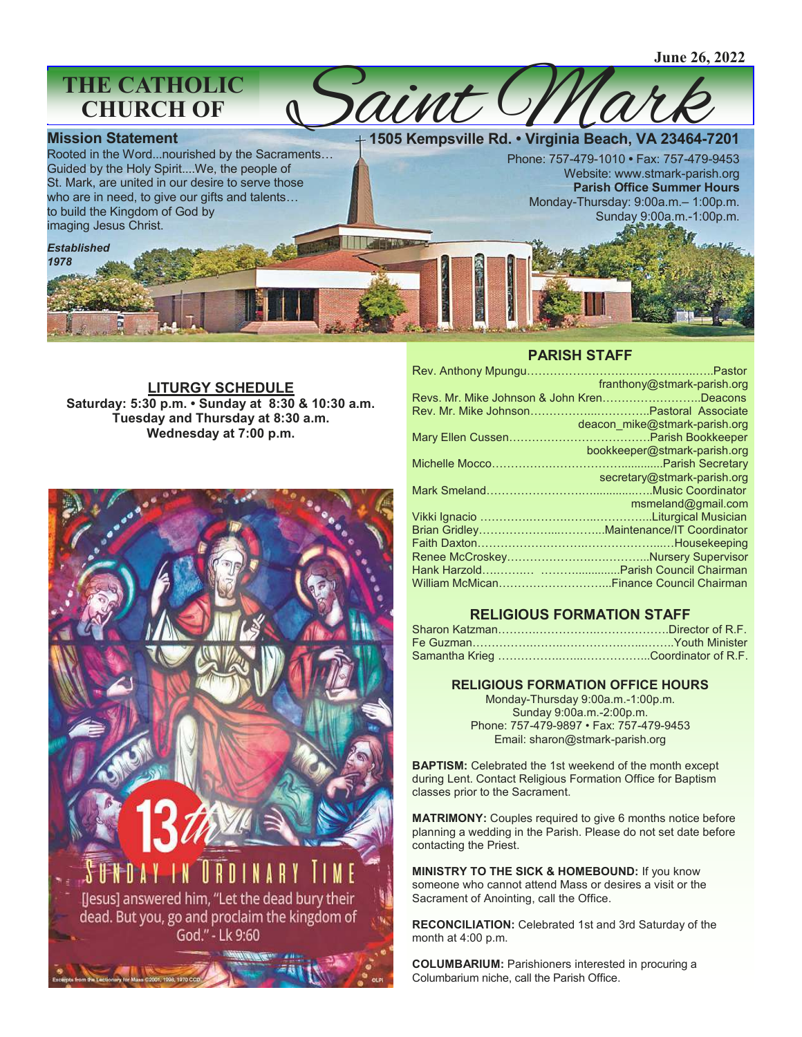# **THE CATHOLIC CHURCH OF**

### **Mission Statement**

*Established 1978*

Rooted in the Word...nourished by the Sacraments… Guided by the Holy Spirit....We, the people of St. Mark, are united in our desire to serve those who are in need, to give our gifts and talents… to build the Kingdom of God by imaging Jesus Christ.

**1505 Kempsville Rd. • Virginia Beach, VA 23464-7201** 

Phone: 757-479-1010 **•** Fax: 757-479-9453 Website: www.stmark-parish.org **Parish Office Summer Hours**  Monday-Thursday: 9:00a.m.– 1:00p.m. Sunday 9:00a.m.-1:00p.m.

**LITURGY SCHEDULE Saturday: 5:30 p.m. • Sunday at 8:30 & 10:30 a.m. Tuesday and Thursday at 8:30 a.m. Wednesday at 7:00 p.m.**



### **PARISH STAFF**

| franthony@stmark-parish.org                      |
|--------------------------------------------------|
| Revs. Mr. Mike Johnson & John KrenDeacons        |
|                                                  |
| deacon mike@stmark-parish.org                    |
|                                                  |
| bookkeeper@stmark-parish.org                     |
|                                                  |
| secretary@stmark-parish.org                      |
|                                                  |
| msmeland@gmail.com<br>$\mathcal{L}(\mathcal{L})$ |
|                                                  |
|                                                  |
|                                                  |
|                                                  |
|                                                  |
|                                                  |
|                                                  |

## **RELIGIOUS FORMATION STAFF**

### **RELIGIOUS FORMATION OFFICE HOURS**

Monday-Thursday 9:00a.m.-1:00p.m. Sunday 9:00a.m.-2:00p.m. Phone: 757-479-9897 • Fax: 757-479-9453 Email: sharon@stmark-parish.org

**BAPTISM:** Celebrated the 1st weekend of the month except during Lent. Contact Religious Formation Office for Baptism classes prior to the Sacrament.

**MATRIMONY:** Couples required to give 6 months notice before planning a wedding in the Parish. Please do not set date before contacting the Priest.

**MINISTRY TO THE SICK & HOMEBOUND:** If you know someone who cannot attend Mass or desires a visit or the Sacrament of Anointing, call the Office.

**RECONCILIATION:** Celebrated 1st and 3rd Saturday of the month at 4:00 p.m.

**COLUMBARIUM:** Parishioners interested in procuring a Columbarium niche, call the Parish Office.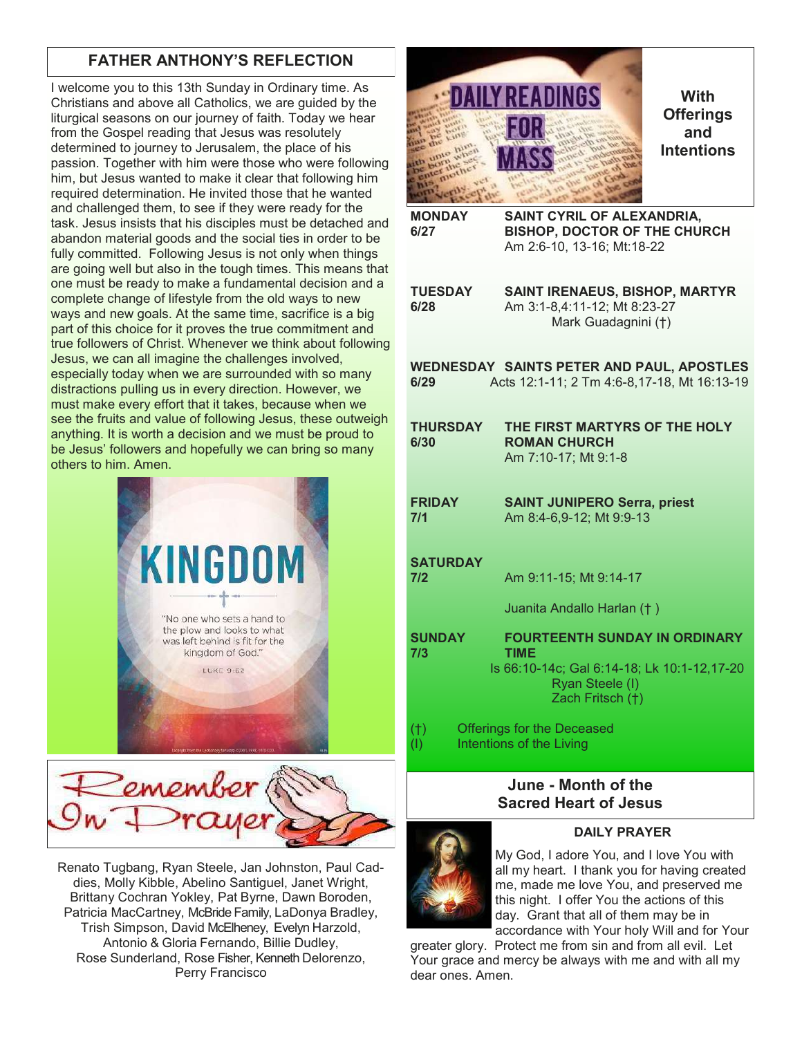# **FATHER ANTHONY'S REFLECTION**

I welcome you to this 13th Sunday in Ordinary time. As Christians and above all Catholics, we are guided by the liturgical seasons on our journey of faith. Today we hear from the Gospel reading that Jesus was resolutely determined to journey to Jerusalem, the place of his passion. Together with him were those who were following him, but Jesus wanted to make it clear that following him required determination. He invited those that he wanted and challenged them, to see if they were ready for the task. Jesus insists that his disciples must be detached and abandon material goods and the social ties in order to be fully committed. Following Jesus is not only when things are going well but also in the tough times. This means that one must be ready to make a fundamental decision and a complete change of lifestyle from the old ways to new ways and new goals. At the same time, sacrifice is a big part of this choice for it proves the true commitment and true followers of Christ. Whenever we think about following Jesus, we can all imagine the challenges involved, especially today when we are surrounded with so many distractions pulling us in every direction. However, we must make every effort that it takes, because when we see the fruits and value of following Jesus, these outweigh anything. It is worth a decision and we must be proud to be Jesus' followers and hopefully we can bring so many others to him. Amen.





Renato Tugbang, Ryan Steele, Jan Johnston, Paul Caddies, Molly Kibble, Abelino Santiguel, Janet Wright, Brittany Cochran Yokley, Pat Byrne, Dawn Boroden, Patricia MacCartney, McBride Family, LaDonya Bradley, Trish Simpson, David McElheney, Evelyn Harzold, Antonio & Gloria Fernando, Billie Dudley, Rose Sunderland, Rose Fisher, Kenneth Delorenzo, Perry Francisco



**With Offerings and Intentions**

**MONDAY SAINT CYRIL OF ALEXANDRIA, 6/27 BISHOP, DOCTOR OF THE CHURCH** Am 2:6-10, 13-16; Mt:18-22

**TUESDAY SAINT IRENAEUS, BISHOP, MARTYR 6/28** Am 3:1-8,4:11-12; Mt 8:23-27 Mark Guadagnini (†)

**WEDNESDAY SAINTS PETER AND PAUL, APOSTLES 6/29** Acts 12:1-11; 2 Tm 4:6-8,17-18, Mt 16:13-19

- **THURSDAY THE FIRST MARTYRS OF THE HOLY 6/30 ROMAN CHURCH** Am 7:10-17; Mt 9:1-8
- **FRIDAY SAINT JUNIPERO Serra, priest 7/1** Am 8:4-6,9-12; Mt 9:9-13

**SATURDAY 7/2** Am 9:11-15; Mt 9:14-17

Juanita Andallo Harlan († )

**SUNDAY FOURTEENTH SUNDAY IN ORDINARY 7/3 TIME** Is 66:10-14c; Gal 6:14-18; Lk 10:1-12,17-20 Ryan Steele (I) Zach Fritsch (†)

(†) Offerings for the Deceased (I) Intentions of the Living

## **June - Month of the Sacred Heart of Jesus**



### **DAILY PRAYER**

My God, I adore You, and I love You with all my heart. I thank you for having created me, made me love You, and preserved me this night. I offer You the actions of this day. Grant that all of them may be in accordance with Your holy Will and for Your

greater glory. Protect me from sin and from all evil. Let Your grace and mercy be always with me and with all my dear ones. Amen.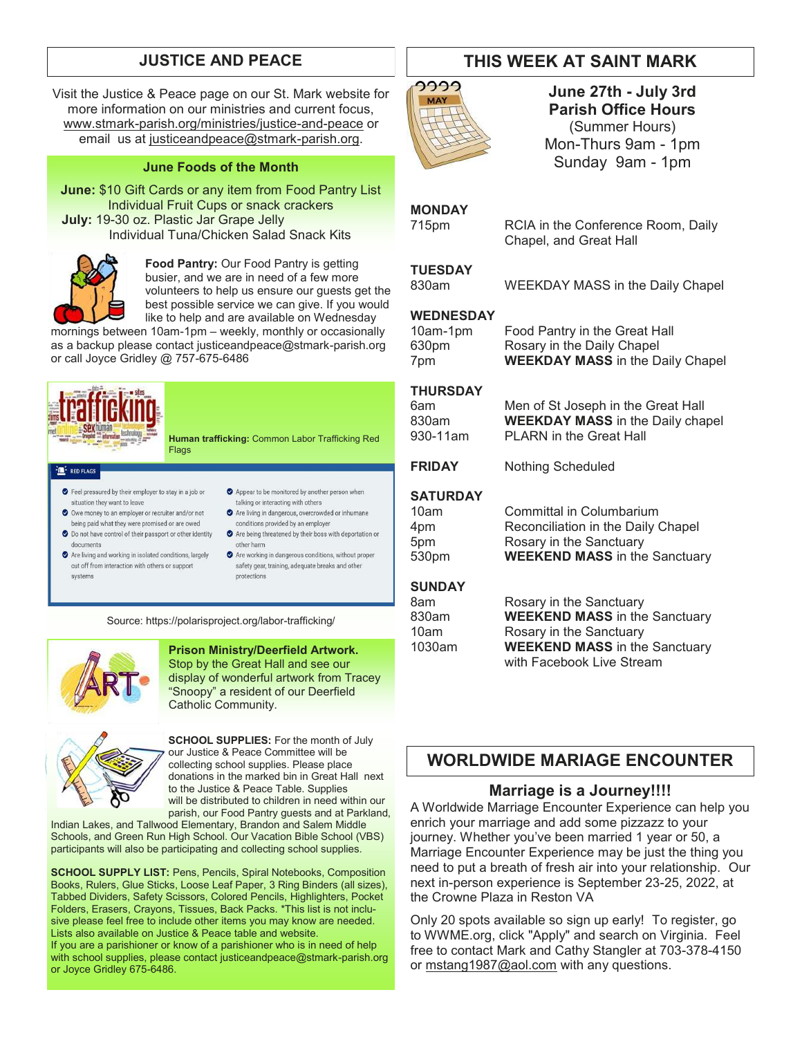Visit the Justice & Peace page on our St. Mark website for more information on our ministries and current focus, [www.stmark-parish.org/ministries/justice-and-peace](file:///C:/Users/Nanna/Desktop/www.stmark-parish.org/ministries/justice-and-peace) or email us at [justiceandpeace@stmark-parish.org.](mailto:justiceandpeace@stmark-parish.org)

### **June Foods of the Month**

**June:** \$10 Gift Cards or any item from Food Pantry List Individual Fruit Cups or snack crackers **July:** 19-30 oz. Plastic Jar Grape Jelly Individual Tuna/Chicken Salad Snack Kits



**Food Pantry:** Our Food Pantry is getting busier, and we are in need of a few more volunteers to help us ensure our guests get the best possible service we can give. If you would like to help and are available on Wednesday

mornings between 10am-1pm – weekly, monthly or occasionally as a backup please contact justiceandpeace@stmark-parish.org or call Joyce Gridley @ 757-675-6486



 $\frac{2\pi}{\pi}$  RED FLAGS

**Human trafficking:** Common Labor Trafficking Red Flags

- Feel pressured by their employer to stay in a job or situation they want to leave
- O Owe money to an employer or recruiter and/or not being paid what they were promised or are owed O Do not have control of their passport or other identity
- documents Are living and working in isolated conditions, largely
- cut off from interaction with others or support systems
- Appear to be monitored by another person when talking or interacting with others Are living in dangerous, overcrowded or inhumane
- conditions provided by an employer Are being threatened by their boss with deportation or
- other harm Are working in dangerous conditions, without proper
- safety gear, training, adequate breaks and other protections

Source: https://polarisproject.org/labor-trafficking/



**Prison Ministry/Deerfield Artwork.**  Stop by the Great Hall and see our display of wonderful artwork from Tracey "Snoopy" a resident of our Deerfield Catholic Community.



**SCHOOL SUPPLIES:** For the month of July our Justice & Peace Committee will be collecting school supplies. Please place donations in the marked bin in Great Hall next to the Justice & Peace Table. Supplies will be distributed to children in need within our parish, our Food Pantry guests and at Parkland,

Indian Lakes, and Tallwood Elementary, Brandon and Salem Middle Schools, and Green Run High School. Our Vacation Bible School (VBS) participants will also be participating and collecting school supplies.

**SCHOOL SUPPLY LIST:** Pens, Pencils, Spiral Notebooks, Composition Books, Rulers, Glue Sticks, Loose Leaf Paper, 3 Ring Binders (all sizes), Tabbed Dividers, Safety Scissors, Colored Pencils, Highlighters, Pocket Folders, Erasers, Crayons, Tissues, Back Packs. \*This list is not inclusive please feel free to include other items you may know are needed. Lists also available on Justice & Peace table and website. If you are a parishioner or know of a parishioner who is in need of help with school supplies, please contact justiceandpeace@stmark-parish.org or Joyce Gridley 675-6486.

# **JUSTICE AND PEACE THIS WEEK AT SAINT MARK**



**June 27th - July 3rd Parish Office Hours** (Summer Hours) Mon-Thurs 9am - 1pm Sunday 9am - 1pm

### **MONDAY**

715pm RCIA in the Conference Room, Daily Chapel, and Great Hall

### **TUESDAY**

830am WEEKDAY MASS in the Daily Chapel

### **WEDNESDAY**

| 0am-1pm | Fo |
|---------|----|
| 30pm    | Rc |
| วm      | W  |

10am-1pm Food Pantry in the Great Hall 630pm Rosary in the Daily Chapel 7pm **WEEKDAY MASS** in the Daily Chapel

### **THURSDAY**

6am Men of St Joseph in the Great Hall 830am **WEEKDAY MASS** in the Daily chapel 930-11am PLARN in the Great Hall

**FRIDAY** Nothing Scheduled

### **SATURDAY**

| Committal in Columbarium             |
|--------------------------------------|
| Reconciliation in the Daily Chapel   |
| Rosary in the Sanctuary              |
| <b>WEEKEND MASS</b> in the Sanctuary |
|                                      |

### **SUNDAY**

| 8am    | Rosary in the Sanctuary              |  |
|--------|--------------------------------------|--|
| 830am  | <b>WEEKEND MASS</b> in the Sanctuary |  |
| 10am   | Rosary in the Sanctuary              |  |
| 1030am | <b>WEEKEND MASS</b> in the Sanctuary |  |
|        | with Facebook Live Stream            |  |

# **WORLDWIDE MARIAGE ENCOUNTER**

### **Marriage is a Journey!!!!**

A Worldwide Marriage Encounter Experience can help you enrich your marriage and add some pizzazz to your journey. Whether you've been married 1 year or 50, a Marriage Encounter Experience may be just the thing you need to put a breath of fresh air into your relationship. Our next in-person experience is September 23-25, 2022, at the Crowne Plaza in Reston VA

Only 20 spots available so sign up early! To register, go to WWME.org, click "Apply" and search on Virginia. Feel free to contact Mark and Cathy Stangler at 703-378-4150 or [mstang1987@aol.com](mailto:mstang1987@aol.com) with any questions.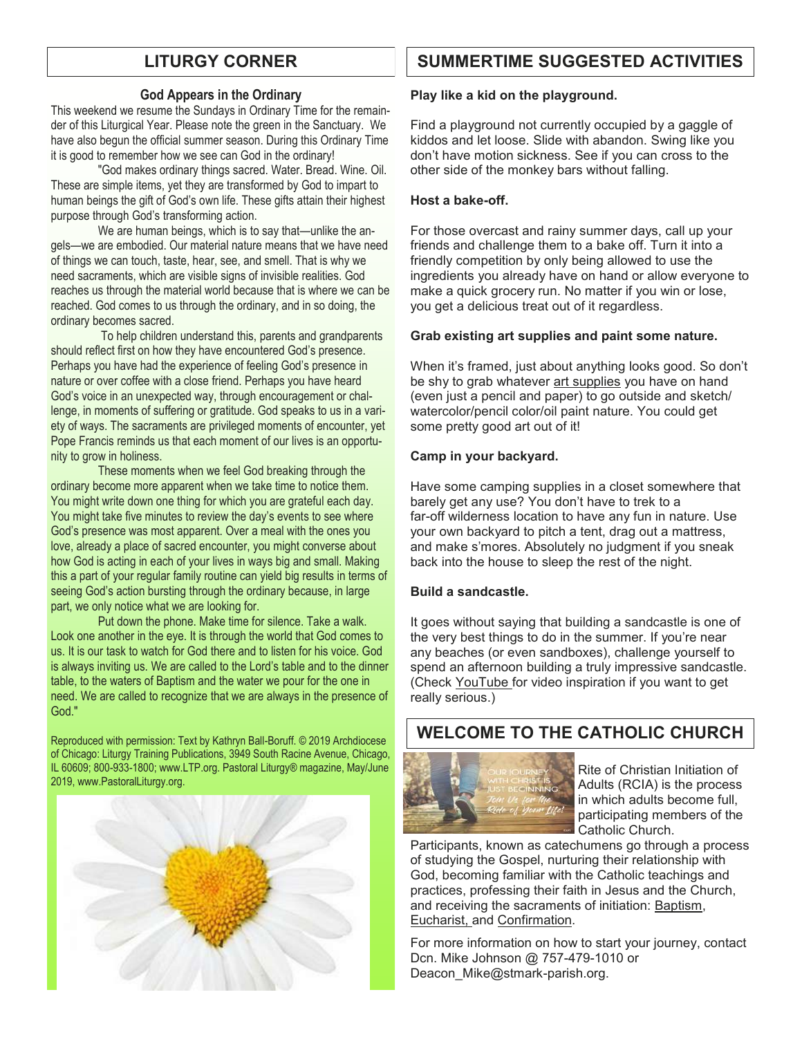### **God Appears in the Ordinary**

This weekend we resume the Sundays in Ordinary Time for the remainder of this Liturgical Year. Please note the green in the Sanctuary. We have also begun the official summer season. During this Ordinary Time it is good to remember how we see can God in the ordinary!

"God makes ordinary things sacred. Water. Bread. Wine. Oil. These are simple items, yet they are transformed by God to impart to human beings the gift of God's own life. These gifts attain their highest purpose through God's transforming action.

We are human beings, which is to say that—unlike the angels—we are embodied. Our material nature means that we have need of things we can touch, taste, hear, see, and smell. That is why we need sacraments, which are visible signs of invisible realities. God reaches us through the material world because that is where we can be reached. God comes to us through the ordinary, and in so doing, the ordinary becomes sacred.

To help children understand this, parents and grandparents should reflect first on how they have encountered God's presence. Perhaps you have had the experience of feeling God's presence in nature or over coffee with a close friend. Perhaps you have heard God's voice in an unexpected way, through encouragement or challenge, in moments of suffering or gratitude. God speaks to us in a variety of ways. The sacraments are privileged moments of encounter, yet Pope Francis reminds us that each moment of our lives is an opportunity to grow in holiness.

These moments when we feel God breaking through the ordinary become more apparent when we take time to notice them. You might write down one thing for which you are grateful each day. You might take five minutes to review the day's events to see where God's presence was most apparent. Over a meal with the ones you love, already a place of sacred encounter, you might converse about how God is acting in each of your lives in ways big and small. Making this a part of your regular family routine can yield big results in terms of seeing God's action bursting through the ordinary because, in large part, we only notice what we are looking for.

Put down the phone. Make time for silence. Take a walk. Look one another in the eye. It is through the world that God comes to us. It is our task to watch for God there and to listen for his voice. God is always inviting us. We are called to the Lord's table and to the dinner table, to the waters of Baptism and the water we pour for the one in need. We are called to recognize that we are always in the presence of God."

Reproduced with permission: Text by Kathryn Ball-Boruff. © 2019 Archdiocese of Chicago: Liturgy Training Publications, 3949 South Racine Avenue, Chicago, IL 60609; 800-933-1800; www.LTP.org. Pastoral Liturgy® magazine, May/June 2019, www.PastoralLiturgy.org.



# **LITURGY CORNER SUMMERTIME SUGGESTED ACTIVITIES**

### **Play like a kid on the playground.**

Find a playground not currently occupied by a gaggle of kiddos and let loose. Slide with abandon. Swing like you don't have motion sickness. See if you can cross to the other side of the monkey bars without falling.

### **Host a bake-off.**

For those overcast and rainy summer days, call up your friends and challenge them to a bake off. Turn it into a friendly competition by only being allowed to use the ingredients you already have on hand or allow everyone to make a quick grocery run. No matter if you win or lose, you get a delicious treat out of it regardless.

### **Grab existing art supplies and paint some nature.**

When it's framed, just about anything looks good. So don't be shy to grab whatever [art supplies](https://www.apartmenttherapy.com/best-beginner-hobby-painting-supplies-36838086) you have on hand (even just a pencil and paper) to go outside and sketch/ watercolor/pencil color/oil paint nature. You could get some pretty good art out of it!

### **Camp in your backyard.**

Have some camping supplies in a closet somewhere that barely get any use? You don't have to trek to a far-off wilderness location to have any fun in nature. Use your own backyard to pitch a tent, drag out a mattress, and make s'mores. Absolutely no judgment if you sneak back into the house to sleep the rest of the night.

### **Build a sandcastle.**

It goes without saying that building a sandcastle is one of the very best things to do in the summer. If you're near any beaches (or even sandboxes), challenge yourself to spend an afternoon building a truly impressive sandcastle. (Check [YouTube f](https://www.youtube.com/watch?v=aQak5S-hWls)or video inspiration if you want to get really serious.)

# **WELCOME TO THE CATHOLIC CHURCH**



Rite of Christian Initiation of Adults (RCIA) is the process in which adults become full, participating members of the Catholic Church.

Participants, known as catechumens go through a process of studying the Gospel, nurturing their relationship with God, becoming familiar with the Catholic teachings and practices, professing their faith in Jesus and the Church, and receiving the sacraments of initiation: [Baptism,](https://www.catholicfaithstore.com/daily-bread/early-teachings-infant-baptism/) Eucharist, and [Confirmation.](https://www.catholicfaithstore.com/daily-bread/7-best-gifts-one-receives-confirmation/)

For more information on how to start your journey, contact Dcn. Mike Johnson @ 757-479-1010 or Deacon\_Mike@stmark-parish.org.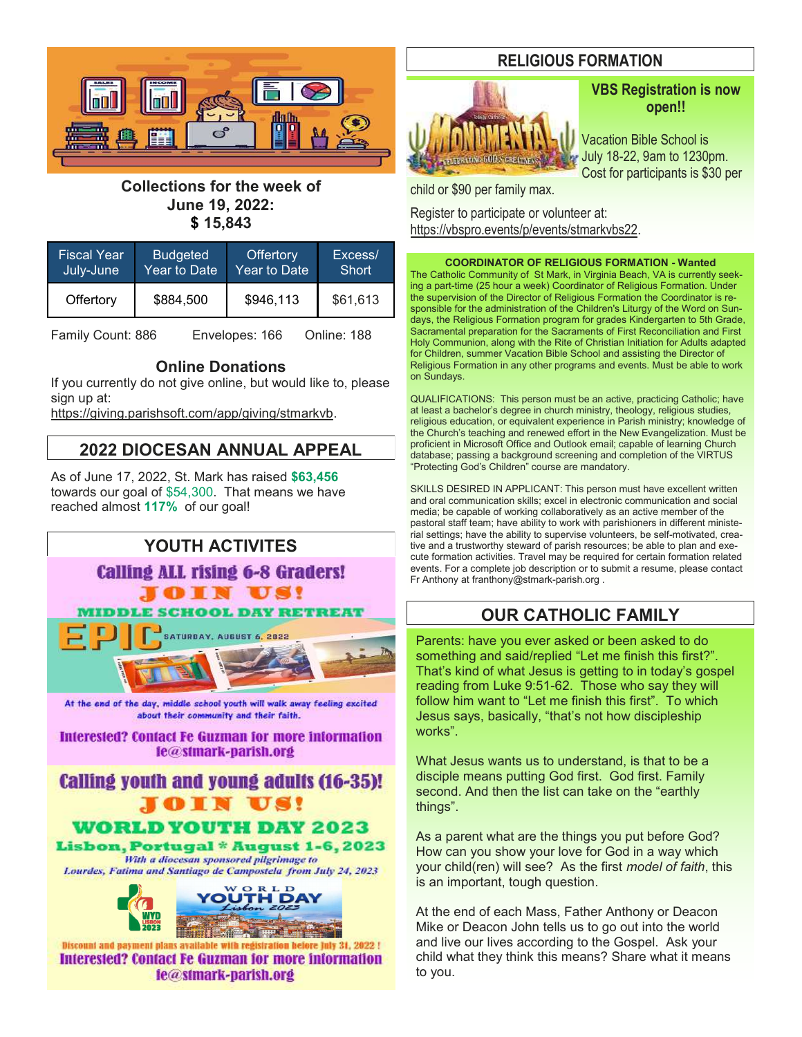

# **Collections for the week of June 19, 2022: \$ 15,843**

| <b>Fiscal Year</b> | <b>Budgeted</b> | <b>Offertory</b>          | Excess/      |
|--------------------|-----------------|---------------------------|--------------|
| July-June          | Year to Date    | Year to Date <sup>'</sup> | <b>Short</b> |
| Offertory          | \$884,500       | \$946,113                 | \$61,613     |

Family Count: 886 Envelopes: 166 Online: 188

### **Online Donations**

If you currently do not give online, but would like to, please sign up at:

[https://giving.parishsoft.com/app/giving/stmarkvb.](https://giving.parishsoft.com/app/giving/stmarkvb)

# **2022 DIOCESAN ANNUAL APPEAL**

As of June 17, 2022, St. Mark has raised **\$63,456** towards our goal of \$54,300. That means we have reached almost **117%** of our goal!



**Interested? Contact Fe Guzman for more information** le@stmark-parish.org

# **Calling youth and young adults (16-35)!** OIN US!

**WORLD YOUTH DAY 2023** 

Lisbon, Portugal \* August 1-6, 2023 With a diocesan sponsored pligrimage to Lourdes, Fatima and Santiago de Campostela from July 24, 2023



Discount and payment plans available with registration before July 31, 2022 ! **Interested? Contact Fe Guzman for more information** le@stmark-parish.org

# **RELIGIOUS FORMATION**



# **VBS Registration is now open!!**

Vacation Bible School is July 18-22, 9am to 1230pm. Cost for participants is \$30 per

child or \$90 per family max.

Register to participate or volunteer at: [https://vbspro.events/p/events/stmarkvbs22.](https://vbspro.events/p/events/stmarkvbs22)

**COORDINATOR OF RELIGIOUS FORMATION - Wanted**

The Catholic Community of St Mark, in Virginia Beach, VA is currently seeking a part-time (25 hour a week) Coordinator of Religious Formation. Under the supervision of the Director of Religious Formation the Coordinator is responsible for the administration of the Children's Liturgy of the Word on Sundays, the Religious Formation program for grades Kindergarten to 5th Grade, Sacramental preparation for the Sacraments of First Reconciliation and First Holy Communion, along with the Rite of Christian Initiation for Adults adapted for Children, summer Vacation Bible School and assisting the Director of Religious Formation in any other programs and events. Must be able to work on Sundays.

QUALIFICATIONS: This person must be an active, practicing Catholic; have at least a bachelor's degree in church ministry, theology, religious studies, religious education, or equivalent experience in Parish ministry; knowledge of the Church's teaching and renewed effort in the New Evangelization. Must be proficient in Microsoft Office and Outlook email; capable of learning Church database; passing a background screening and completion of the VIRTUS "Protecting God's Children" course are mandatory.

SKILLS DESIRED IN APPLICANT: This person must have excellent written and oral communication skills; excel in electronic communication and social media; be capable of working collaboratively as an active member of the pastoral staff team; have ability to work with parishioners in different ministerial settings; have the ability to supervise volunteers, be self-motivated, creative and a trustworthy steward of parish resources; be able to plan and execute formation activities. Travel may be required for certain formation related events. For a complete job description or to submit a resume, please contact Fr Anthony at franthony@stmark-parish.org .

# **OUR CATHOLIC FAMILY**

Parents: have you ever asked or been asked to do something and said/replied "Let me finish this first?". That's kind of what Jesus is getting to in today's gospel reading from Luke 9:51-62. Those who say they will follow him want to "Let me finish this first". To which Jesus says, basically, "that's not how discipleship works".

What Jesus wants us to understand, is that to be a disciple means putting God first. God first. Family second. And then the list can take on the "earthly things".

As a parent what are the things you put before God? How can you show your love for God in a way which your child(ren) will see? As the first *model of faith*, this is an important, tough question.

At the end of each Mass, Father Anthony or Deacon Mike or Deacon John tells us to go out into the world and live our lives according to the Gospel. Ask your child what they think this means? Share what it means to you.